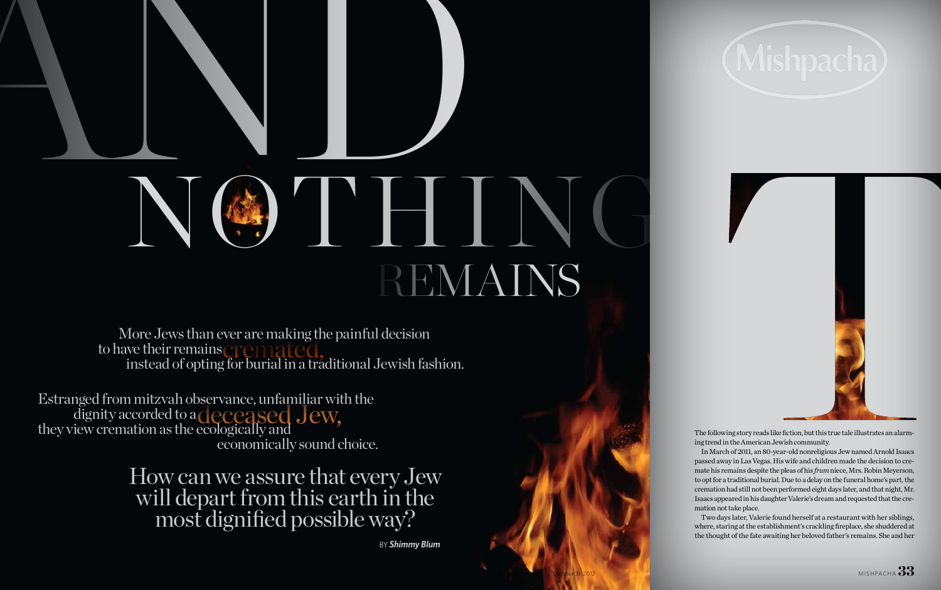# AND NG THING REMAINS

 More Jews than ever are making the painful decision to have their remains **crematic formating** the pannum decision<br>instead of opting for burial in a traditional Jewish fashion.

Estranged from mitzvah observance, unfamiliar with the dignity accorded to a they view cremation as the ecologically and economically sound choice. deceased Jew,

The following story reads like fiction, but this true tale illustrates an alarming trend in the American Jewish community.

In March of 2011, an 80-year-old nonreligious Jew named Arnold Isaacs passed away in Las Vegas. His wife and children made the decision to cremate his remains despite the pleas of his *frum* niece, Mrs. Robin Meyerson, to opt for a traditional burial. Due to a delay on the funeral home's part, the cremation had still not been performed eight days later, and that night, Mr. Isaacs appeared in his daughter Valerie's dream and requested that the cremation not take place.

Two days later, Valerie found herself at a restaurant with her siblings, where, staring at the establishment's crackling fireplace, she shuddered at the thought of the fate awaiting her beloved father's remains. She and her

by*Shimmy Blum*





How can we assure that every Jew will depart from this earth in the most dignified possible way?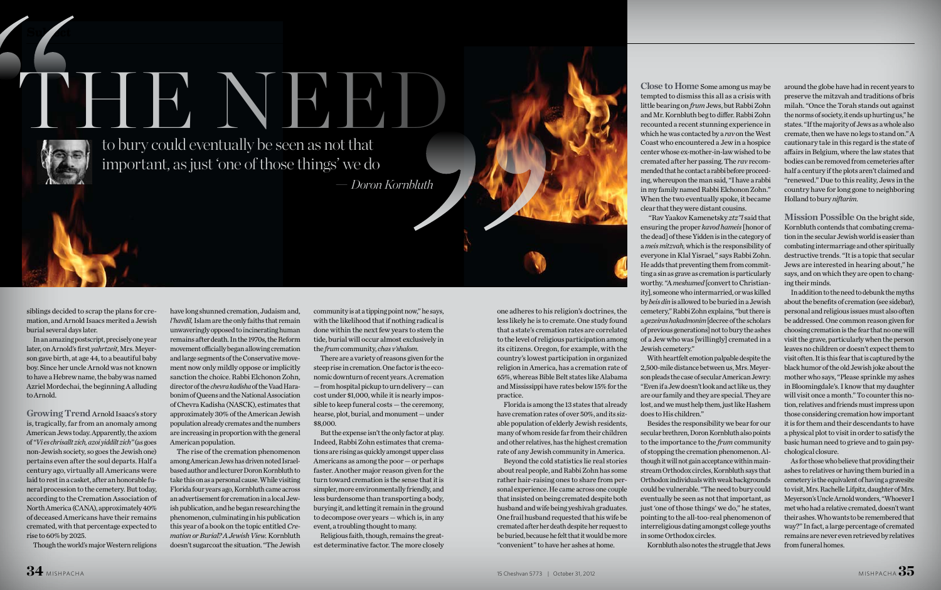siblings decided to scrap the plans for cremation, and Arnold Isaacs merited a Jewish burial several days later.

**Su***b* et

In an amazing postscript, precisely one year later, on Arnold's first *yahrtzeit*, Mrs. Meyerson gave birth, at age 44, to a beautiful baby boy. Since her uncle Arnold was not known to have a Hebrew name, the baby was named Azriel Mordechai, the beginning A alluding to Arnold.

**Growing Trend** Arnold Isaacs's story is, tragically, far from an anomaly among American Jews today. Apparently, the axiom of *"Vi es chrisallt zich, azoi yiddilt zich"* (as goes non-Jewish society, so goes the Jewish one) pertains even after the soul departs. Half a century ago, virtually all Americans were laid to rest in a casket, after an honorable funeral procession to the cemetery. But today, according to the Cremation Association of North America (CANA), approximately 40% of deceased Americans have their remains cremated, with that percentage expected to rise to 60% by 2025.

Though the world's major Western religions

have long shunned cremation, Judaism and, *l'havdil,* Islam are the only faiths that remain unwaveringly opposed to incinerating human remains after death. In the 1970s, the Reform movement officially began allowing cremation and large segments of the Conservative movement now only mildly oppose or implicitly sanction the choice. Rabbi Elchonon Zohn, director of the *chevra kadisha* of the Vaad Harabonim of Queens and the National Association of Chevra Kadisha (NASCK), estimates that approximately 30% of the American Jewish population already cremates and the numbers are increasing in proportion with the general

American population. The rise of the cremation phenomenon among American Jews has driven noted Israelbased author and lecturer Doron Kornbluth to take this on as a personal cause. While visiting Florida four years ago, Kornbluth came across an advertisement for cremation in a local Jewish publication, and he began researching the phenomenon, culminating in his publication this year of a book on the topic entitled *Cremation or Burial? A Jewish View.* Kornbluth doesn't sugarcoat the situation. "The Jewish community is at a tipping point now," he says, with the likelihood that if nothing radical is done within the next few years to stem the tide, burial will occur almost exclusively in the *frum* community, *chas v'shalom.*

There are a variety of reasons given for the steep rise in cremation. One factor is the economic downturn of recent years. A cremation — from hospital pickup to urn delivery — can cost under \$1,000, while it is nearly impossible to keep funeral costs — the ceremony, hearse, plot, burial, and monument — under \$8,000.

But the expense isn't the only factor at play. Indeed, Rabbi Zohn estimates that cremations are rising as quickly amongst upper class Americans as among the poor — or perhaps faster. Another major reason given for the turn toward cremation is the sense that it is simpler, more environmentally friendly, and less burdensome than transporting a body, burying it, and letting it remain in the ground to decompose over years — which is, in any event, a troubling thought to many.

Religious faith, though, remains the greatest determinative factor. The more closely

**Close to Home** Some among us may be tempted to dismiss this all as a crisis with little bearing on *frum* Jews, but Rabbi Zohn and Mr. Kornbluth beg to differ. Rabbi Zohn recounted a recent stunning experience in which he was contacted by a *rav* on the West Coast who encountered a Jew in a hospice center whose ex-mother-in-law wished to be cremated after her passing. The *rav* recommended that he contact a rabbi before proceeding, whereupon the man said, "I have a rabbi in my family named Rabbi Elchonon Zohn." When the two eventually spoke, it became clear that they were distant cousins.

to bury could eventually be seen as not that important, as just 'one of those things' we do THE NEED

> "Rav Yaakov Kamenetsky *ztz"l* said that ensuring the proper *kavod hameis* [honor of the dead] of these Yidden is in the category of a *meis mitzvah,* which is the responsibility of everyone in Klal Yisrael*,*" says Rabbi Zohn. He adds that preventing them from committing a sin as grave as cremation is particularly worthy. "A *meshumed* [convert to Christianity], someone who intermarried, or was killed by *beis din* is allowed to be buried in a Jewish cemetery," Rabbi Zohn explains, "but there is a *gezeiras hakadmonim* [decree of the scholars of previous generations] not to bury the ashes of a Jew who was [willingly] cremated in a Jewish cemetery."

> With heartfelt emotion palpable despite the 2,500-mile distance between us, Mrs. Meyerson pleads the case of secular American Jewry: "Even if a Jew doesn't look and act like us, they are our family and they are special. They are lost, and we must help them, just like Hashem does to His children."

Besides the responsibility we bear for our secular brethren, Doron Kornbluth also points to the importance to the *frum* community of stopping the cremation phenomenon. Although it will not gain acceptance within mainstream Orthodox circles, Kornbluth says that Orthodox individuals with weak backgrounds could be vulnerable. "The need to bury could eventually be seen as not that important, as just 'one of those things' we do," he states, pointing to the all-too-real phenomenon of interreligious dating amongst college youths in some Orthodox circles. Kornbluth also notes the struggle that Jews

around the globe have had in recent years to preserve the mitzvah and traditions of bris milah. "Once the Torah stands out against the norms of society, it ends up hurting us," he states. "If the majority of Jews as a whole also cremate, then we have no legs to stand on." A cautionary tale in this regard is the state of affairs in Belgium, where the law states that bodies can be removed from cemeteries after half a century if the plots aren't claimed and "renewed." Due to this reality, Jews in the country have for long gone to neighboring Holland to bury *niftarim.*

**Mission Possible** On the bright side, Kornbluth contends that combating cremation in the secular Jewish world is easier than combating intermarriage and other spiritually destructive trends. "It is a topic that secular Jews are interested in hearing about," he says, and on which they are open to changing their minds.

In addition to the need to debunk the myths about the benefits of cremation (see sidebar), personal and religious issues must also often be addressed. One common reason given for choosing cremation is the fear that no one will visit the grave, particularly when the person leaves no children or doesn't expect them to visit often. It is this fear that is captured by the black humor of the old Jewish joke about the mother who says, "Please sprinkle my ashes in Bloomingdale's. I know that my daughter will visit once a month." To counter this notion, relatives and friends must impress upon those considering cremation how important it is for them and their descendants to have a physical plot to visit in order to satisfy the basic human need to grieve and to gain psychological closure.

As for those who believe that providing their ashes to relatives or having them buried in a cemetery is the equivalent of having a gravesite to visit, Mrs. Rachelle Lifpitz, daughter of Mrs. Meyerson's Uncle Arnold wonders, "Whoever I met who had a relative cremated, doesn't want their ashes. Who wants to be remembered that way?" In fact, a large percentage of cremated remains are never even retrieved by relatives from funeral homes.

— *Doron Kornbluth*

one adheres to his religion's doctrines, the less likely he is to cremate. One study found that a state's cremation rates are correlated to the level of religious participation among its citizens. Oregon, for example, with the country's lowest participation in organized religion in America, has a cremation rate of 65%, whereas Bible Belt states like Alabama and Mississippi have rates below 15% for the practice.

Florida is among the 13 states that already have cremation rates of over 50%, and its sizable population of elderly Jewish residents, many of whom reside far from their children and other relatives, has the highest cremation rate of any Jewish community in America.

Beyond the cold statistics lie real stories about real people, and Rabbi Zohn has some rather hair-raising ones to share from personal experience. He came across one couple that insisted on being cremated despite both husband and wife being yeshivah graduates. One frail husband requested that his wife be cremated after her death despite her request to be buried, because he felt that it would be more "convenient" to have her ashes at home.